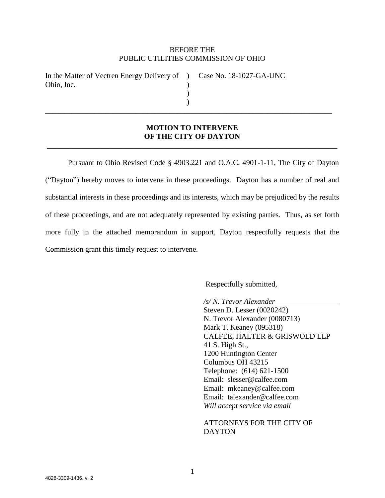### BEFORE THE PUBLIC UTILITIES COMMISSION OF OHIO

| In the Matter of Vectren Energy Delivery of ) Case No. 18-1027-GA-UNC |  |
|-----------------------------------------------------------------------|--|
| Ohio, Inc.                                                            |  |
|                                                                       |  |
|                                                                       |  |

## **MOTION TO INTERVENE OF THE CITY OF DAYTON** \_\_\_\_\_\_\_\_\_\_\_\_\_\_\_\_\_\_\_\_\_\_\_\_\_\_\_\_\_\_\_\_\_\_\_\_\_\_\_\_\_\_\_\_\_\_\_\_\_\_\_\_\_\_\_\_\_\_\_\_\_\_\_\_\_\_\_\_\_\_\_\_\_\_\_\_\_

**\_\_\_\_\_\_\_\_\_\_\_\_\_\_\_\_\_\_\_\_\_\_\_\_\_\_\_\_\_\_\_\_\_\_\_\_\_\_\_\_\_\_\_\_\_\_\_\_\_\_\_\_\_\_\_\_\_\_\_\_\_\_\_\_\_\_\_\_\_\_\_\_\_\_\_\_**

Pursuant to Ohio Revised Code § 4903.221 and O.A.C. 4901-1-11, The City of Dayton ("Dayton") hereby moves to intervene in these proceedings. Dayton has a number of real and substantial interests in these proceedings and its interests, which may be prejudiced by the results of these proceedings, and are not adequately represented by existing parties. Thus, as set forth more fully in the attached memorandum in support, Dayton respectfully requests that the Commission grant this timely request to intervene.

Respectfully submitted,

*/s/ N. Trevor Alexander* Steven D. Lesser (0020242) N. Trevor Alexander (0080713) Mark T. Keaney (095318) CALFEE, HALTER & GRISWOLD LLP 41 S. High St., 1200 Huntington Center Columbus OH 43215 Telephone: (614) 621-1500 Email: slesser@calfee.com Email: mkeaney@calfee.com Email: talexander@calfee.com *Will accept service via email*

ATTORNEYS FOR THE CITY OF DAYTON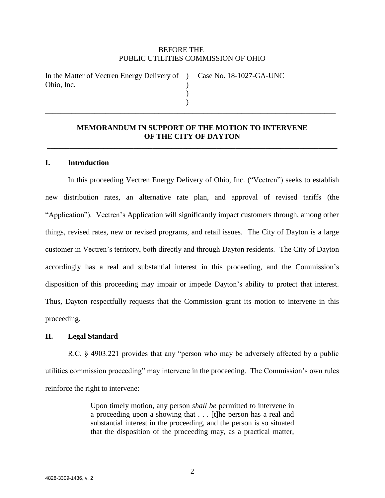### BEFORE THE PUBLIC UTILITIES COMMISSION OF OHIO

| In the Matter of Vectren Energy Delivery of ) Case No. 18-1027-GA-UNC |  |
|-----------------------------------------------------------------------|--|
| Ohio, Inc.                                                            |  |
|                                                                       |  |

## **MEMORANDUM IN SUPPORT OF THE MOTION TO INTERVENE OF THE CITY OF DAYTON**

\_\_\_\_\_\_\_\_\_\_\_\_\_\_\_\_\_\_\_\_\_\_\_\_\_\_\_\_\_\_\_\_\_\_\_\_\_\_\_\_\_\_\_\_\_\_\_\_\_\_\_\_\_\_\_\_\_\_\_\_\_\_\_\_\_\_\_\_\_\_\_\_\_\_\_\_\_

)

\_\_\_\_\_\_\_\_\_\_\_\_\_\_\_\_\_\_\_\_\_\_\_\_\_\_\_\_\_\_\_\_\_\_\_\_\_\_\_\_\_\_\_\_\_\_\_\_\_\_\_\_\_\_\_\_\_\_\_\_\_\_\_\_\_\_\_\_\_\_\_\_\_\_\_\_\_

### **I. Introduction**

In this proceeding Vectren Energy Delivery of Ohio, Inc. ("Vectren") seeks to establish new distribution rates, an alternative rate plan, and approval of revised tariffs (the "Application"). Vectren's Application will significantly impact customers through, among other things, revised rates, new or revised programs, and retail issues. The City of Dayton is a large customer in Vectren's territory, both directly and through Dayton residents. The City of Dayton accordingly has a real and substantial interest in this proceeding, and the Commission's disposition of this proceeding may impair or impede Dayton's ability to protect that interest. Thus, Dayton respectfully requests that the Commission grant its motion to intervene in this proceeding.

### **II. Legal Standard**

R.C. § 4903.221 provides that any "person who may be adversely affected by a public utilities commission proceeding" may intervene in the proceeding. The Commission's own rules reinforce the right to intervene:

> Upon timely motion, any person *shall be* permitted to intervene in a proceeding upon a showing that . . . [t]he person has a real and substantial interest in the proceeding, and the person is so situated that the disposition of the proceeding may, as a practical matter,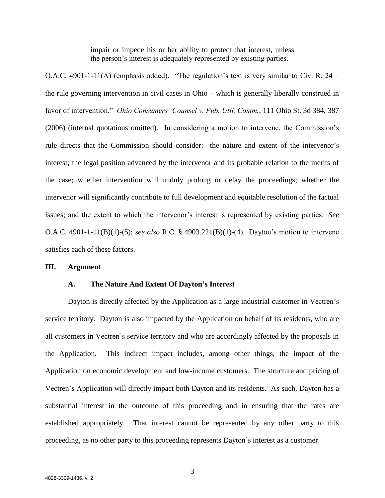impair or impede his or her ability to protect that interest, unless the person's interest is adequately represented by existing parties.

O.A.C. 4901-1-11(A) (emphasis added). "The regulation's text is very similar to Civ. R. 24 – the rule governing intervention in civil cases in Ohio – which is generally liberally construed in favor of intervention." *Ohio Consumers' Counsel v. Pub. Util. Comm.*, 111 Ohio St. 3d 384, 387 (2006) (internal quotations omitted). In considering a motion to intervene, the Commission's rule directs that the Commission should consider: the nature and extent of the intervenor's interest; the legal position advanced by the intervenor and its probable relation to the merits of the case; whether intervention will unduly prolong or delay the proceedings; whether the intervenor will significantly contribute to full development and equitable resolution of the factual issues; and the extent to which the intervenor's interest is represented by existing parties. *See* O.A.C. 4901-1-11(B)(1)-(5); *see also* R.C. § 4903.221(B)(1)-(4). Dayton's motion to intervene satisfies each of these factors.

#### **III. Argument**

#### **A. The Nature And Extent Of Dayton's Interest**

Dayton is directly affected by the Application as a large industrial customer in Vectren's service territory. Dayton is also impacted by the Application on behalf of its residents, who are all customers in Vectren's service territory and who are accordingly affected by the proposals in the Application. This indirect impact includes, among other things, the impact of the Application on economic development and low-income customers. The structure and pricing of Vectren's Application will directly impact both Dayton and its residents. As such, Dayton has a substantial interest in the outcome of this proceeding and in ensuring that the rates are established appropriately. That interest cannot be represented by any other party to this proceeding, as no other party to this proceeding represents Dayton's interest as a customer.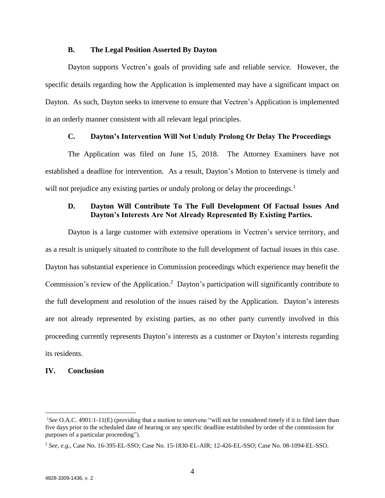### **B. The Legal Position Asserted By Dayton**

Dayton supports Vectren's goals of providing safe and reliable service. However, the specific details regarding how the Application is implemented may have a significant impact on Dayton. As such, Dayton seeks to intervene to ensure that Vectren's Application is implemented in an orderly manner consistent with all relevant legal principles.

## **C. Dayton's Intervention Will Not Unduly Prolong Or Delay The Proceedings**

The Application was filed on June 15, 2018. The Attorney Examiners have not established a deadline for intervention. As a result, Dayton's Motion to Intervene is timely and will not prejudice any existing parties or unduly prolong or delay the proceedings.<sup>1</sup>

## **D. Dayton Will Contribute To The Full Development Of Factual Issues And Dayton's Interests Are Not Already Represented By Existing Parties.**

Dayton is a large customer with extensive operations in Vectren's service territory, and as a result is uniquely situated to contribute to the full development of factual issues in this case. Dayton has substantial experience in Commission proceedings which experience may benefit the Commission's review of the Application.<sup>2</sup> Dayton's participation will significantly contribute to the full development and resolution of the issues raised by the Application. Dayton's interests are not already represented by existing parties, as no other party currently involved in this proceeding currently represents Dayton's interests as a customer or Dayton's interests regarding its residents.

## **IV. Conclusion**

 $\overline{a}$ 

<sup>&</sup>lt;sup>1</sup>See O.A.C. 4901:1-11(E) (providing that a motion to intervene "will not be considered timely if it is filed later than five days prior to the scheduled date of hearing or any specific deadline established by order of the commission for purposes of a particular proceeding").

<sup>2</sup> *See, e.g.*, Case No. 16-395-EL-SSO; Case No. 15-1830-EL-AIR; 12-426-EL-SSO; Case No. 08-1094-EL-SSO.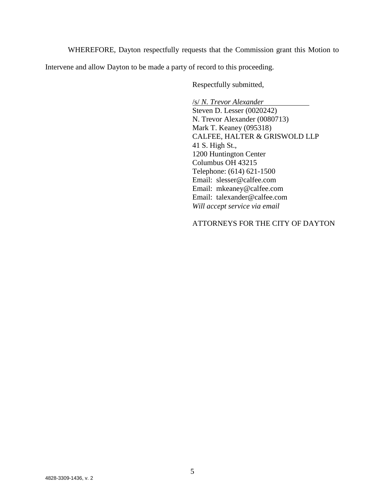WHEREFORE, Dayton respectfully requests that the Commission grant this Motion to

Intervene and allow Dayton to be made a party of record to this proceeding.

Respectfully submitted,

/s/ *N. Trevor Alexander* Steven D. Lesser (0020242) N. Trevor Alexander (0080713) Mark T. Keaney (095318) CALFEE, HALTER & GRISWOLD LLP 41 S. High St., 1200 Huntington Center Columbus OH 43215 Telephone: (614) 621-1500 Email: slesser@calfee.com Email: mkeaney@calfee.com Email: talexander@calfee.com *Will accept service via email*

## ATTORNEYS FOR THE CITY OF DAYTON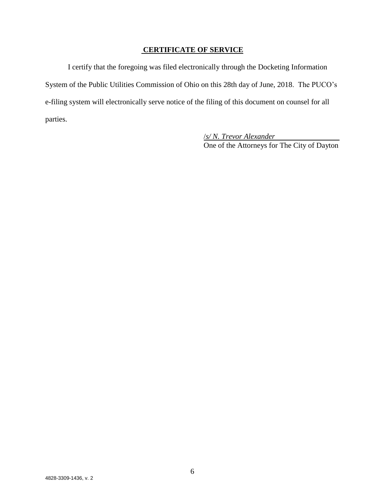# **CERTIFICATE OF SERVICE**

I certify that the foregoing was filed electronically through the Docketing Information System of the Public Utilities Commission of Ohio on this 28th day of June, 2018. The PUCO's e-filing system will electronically serve notice of the filing of this document on counsel for all parties.

> /*s/ N. Trevor Alexander* One of the Attorneys for The City of Dayton